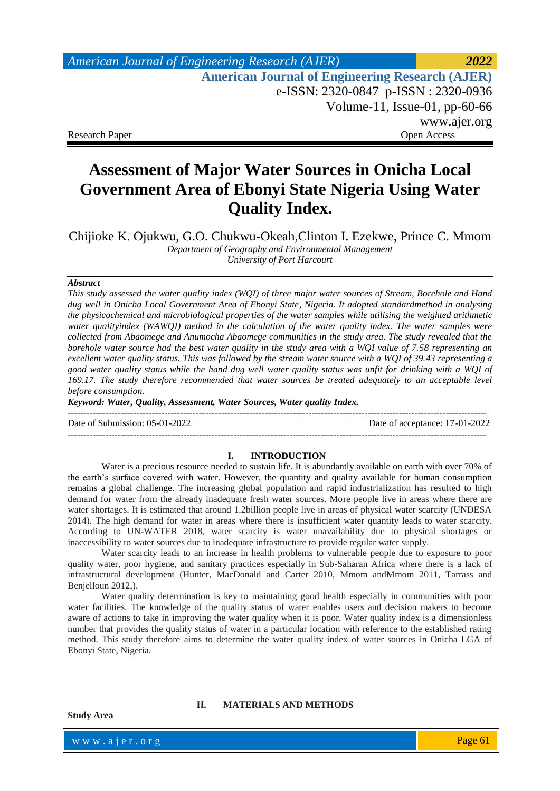| American Journal of Engineering Research (AJER)        | 2022         |
|--------------------------------------------------------|--------------|
| <b>American Journal of Engineering Research (AJER)</b> |              |
| e-ISSN: 2320-0847 p-ISSN: 2320-0936                    |              |
| Volume-11, Issue-01, $pp-60-66$                        |              |
|                                                        | www.ajer.org |
| <b>Research Paper</b>                                  | Open Access  |

# **Assessment of Major Water Sources in Onicha Local Government Area of Ebonyi State Nigeria Using Water Quality Index.**

Chijioke K. Ojukwu, G.O. Chukwu-Okeah,Clinton I. Ezekwe, Prince C. Mmom *Department of Geography and Environmental Management University of Port Harcourt*

#### *Abstract*

*This study assessed the water quality index (WQI) of three major water sources of Stream, Borehole and Hand dug well in Onicha Local Government Area of Ebonyi State, Nigeria. It adopted standardmethod in analysing the physicochemical and microbiological properties of the water samples while utilising the weighted arithmetic water qualityindex (WAWQI) method in the calculation of the water quality index. The water samples were collected from Abaomege and Anumocha Abaomege communities in the study area. The study revealed that the borehole water source had the best water quality in the study area with a WQI value of 7.58 representing an excellent water quality status. This was followed by the stream water source with a WQI of 39.43 representing a good water quality status while the hand dug well water quality status was unfit for drinking with a WQI of*  169.17. The study therefore recommended that water sources be treated adequately to an acceptable level *before consumption.*

*Keyword: Water, Quality, Assessment, Water Sources, Water quality Index.*

Date of Submission: 05-01-2022 Date of acceptance: 17-01-2022

--------------------------------------------------------------------------------------------------------------------------------------

#### **I. INTRODUCTION**

--------------------------------------------------------------------------------------------------------------------------------------

Water is a precious resource needed to sustain life. It is abundantly available on earth with over 70% of the earth's surface covered with water. However, the quantity and quality available for human consumption remains a global challenge. The increasing global population and rapid industrialization has resulted to high demand for water from the already inadequate fresh water sources. More people live in areas where there are water shortages. It is estimated that around 1.2billion people live in areas of physical water scarcity (UNDESA 2014). The high demand for water in areas where there is insufficient water quantity leads to water scarcity. According to UN-WATER 2018, water scarcity is water unavailability due to physical shortages or inaccessibility to water sources due to inadequate infrastructure to provide regular water supply.

Water scarcity leads to an increase in health problems to vulnerable people due to exposure to poor quality water, poor hygiene, and sanitary practices especially in Sub-Saharan Africa where there is a lack of infrastructural development (Hunter, MacDonald and Carter 2010, Mmom andMmom 2011, Tarrass and Benjelloun 2012,).

Water quality determination is key to maintaining good health especially in communities with poor water facilities. The knowledge of the quality status of water enables users and decision makers to become aware of actions to take in improving the water quality when it is poor. Water quality index is a dimensionless number that provides the quality status of water in a particular location with reference to the established rating method. This study therefore aims to determine the water quality index of water sources in Onicha LGA of Ebonyi State, Nigeria.

**Study Area**

#### **II. MATERIALS AND METHODS**

www.ajer.org where  $\mathcal{L} = \mathcal{L} \left( \mathcal{L} \right)$  is the set of  $\mathcal{L} \left( \mathcal{L} \right)$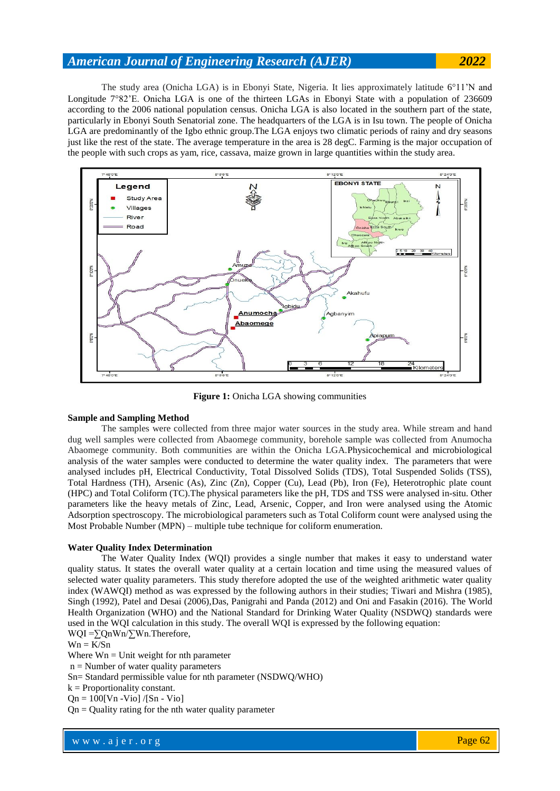The study area (Onicha LGA) is in Ebonyi State, Nigeria. It lies approximately latitude 6°11'N and Longitude 782'E. Onicha LGA is one of the thirteen LGAs in Ebonyi State with a population of 236609 according to the 2006 national population census. Onicha LGA is also located in the southern part of the state, particularly in Ebonyi South Senatorial zone. The headquarters of the LGA is in Isu town. The people of Onicha LGA are predominantly of the Igbo ethnic group.The LGA enjoys two climatic periods of rainy and dry seasons just like the rest of the state. The average temperature in the area is 28 degC. Farming is the major occupation of the people with such crops as yam, rice, cassava, maize grown in large quantities within the study area.



**Figure 1:** Onicha LGA showing communities

### **Sample and Sampling Method**

The samples were collected from three major water sources in the study area. While stream and hand dug well samples were collected from Abaomege community, borehole sample was collected from Anumocha Abaomege community. Both communities are within the Onicha LGA.Physicochemical and microbiological analysis of the water samples were conducted to determine the water quality index. The parameters that were analysed includes pH, Electrical Conductivity, Total Dissolved Solids (TDS), Total Suspended Solids (TSS), Total Hardness (TH), Arsenic (As), Zinc (Zn), Copper (Cu), Lead (Pb), Iron (Fe), Heterotrophic plate count (HPC) and Total Coliform (TC).The physical parameters like the pH, TDS and TSS were analysed in-situ. Other parameters like the heavy metals of Zinc, Lead, Arsenic, Copper, and Iron were analysed using the Atomic Adsorption spectroscopy. The microbiological parameters such as Total Coliform count were analysed using the Most Probable Number (MPN) – multiple tube technique for coliform enumeration.

### **Water Quality Index Determination**

The Water Quality Index (WQI) provides a single number that makes it easy to understand water quality status. It states the overall water quality at a certain location and time using the measured values of selected water quality parameters. This study therefore adopted the use of the weighted arithmetic water quality index (WAWQI) method as was expressed by the following authors in their studies; Tiwari and Mishra (1985), Singh (1992), Patel and Desai (2006),Das, Panigrahi and Panda (2012) and Oni and Fasakin (2016). The World Health Organization (WHO) and the National Standard for Drinking Water Quality (NSDWQ) standards were used in the WQI calculation in this study. The overall WQI is expressed by the following equation: WQI =∑QnWn/∑Wn.Therefore,

 $Wn = K/Sn$ 

Where  $Wn =$  Unit weight for nth parameter

 $n =$  Number of water quality parameters

Sn= Standard permissible value for nth parameter (NSDWQ/WHO)

 $k =$  Proportionality constant.

 $On = 100$ [Vn -Vio] /[Sn - Vio]

 $Qn =$ Quality rating for the nth water quality parameter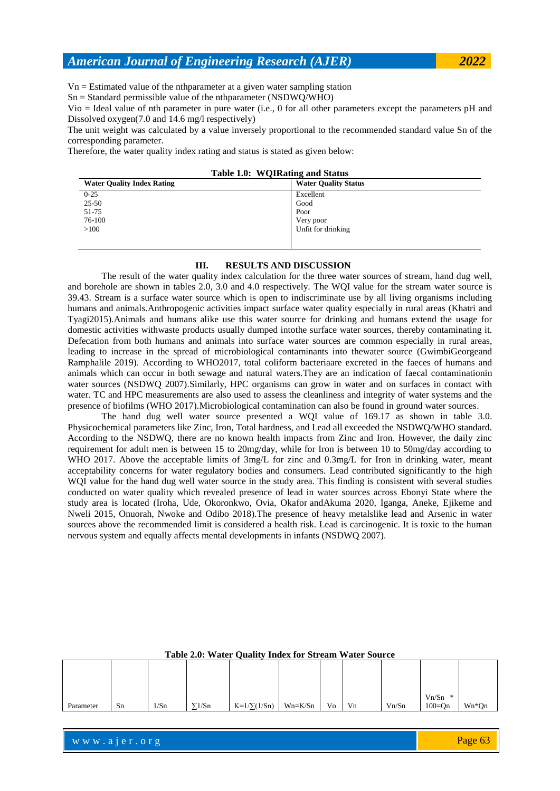$Vn =$  Estimated value of the nthparameter at a given water sampling station

Sn = Standard permissible value of the nthparameter (NSDWQ/WHO)

Vio = Ideal value of nth parameter in pure water (i.e., 0 for all other parameters except the parameters pH and Dissolved oxygen(7.0 and 14.6 mg/l respectively)

The unit weight was calculated by a value inversely proportional to the recommended standard value Sn of the corresponding parameter.

Therefore, the water quality index rating and status is stated as given below:

|  | Table 1.0: WQIRating and Status |  |
|--|---------------------------------|--|
|--|---------------------------------|--|

| <b>Water Quality Index Rating</b> | <b>Water Quality Status</b> |
|-----------------------------------|-----------------------------|
| $0 - 25$                          | Excellent                   |
| $25 - 50$                         | Good                        |
| 51-75                             | Poor                        |
| 76-100                            | Very poor                   |
| >100                              | Unfit for drinking          |
|                                   |                             |

## **III. RESULTS AND DISCUSSION**

The result of the water quality index calculation for the three water sources of stream, hand dug well, and borehole are shown in tables 2.0, 3.0 and 4.0 respectively. The WQI value for the stream water source is 39.43. Stream is a surface water source which is open to indiscriminate use by all living organisms including humans and animals.Anthropogenic activities impact surface water quality especially in rural areas (Khatri and Tyagi2015).Animals and humans alike use this water source for drinking and humans extend the usage for domestic activities withwaste products usually dumped intothe surface water sources, thereby contaminating it. Defecation from both humans and animals into surface water sources are common especially in rural areas, leading to increase in the spread of microbiological contaminants into thewater source (GwimbiGeorgeand Ramphalile 2019). According to WHO2017, total coliform bacteriaare excreted in the faeces of humans and animals which can occur in both sewage and natural waters.They are an indication of faecal contaminationin water sources (NSDWQ 2007).Similarly, HPC organisms can grow in water and on surfaces in contact with water. TC and HPC measurements are also used to assess the cleanliness and integrity of water systems and the presence of biofilms (WHO 2017).Microbiological contamination can also be found in ground water sources.

The hand dug well water source presented a WQI value of 169.17 as shown in table 3.0. Physicochemical parameters like Zinc, Iron, Total hardness, and Lead all exceeded the NSDWQ/WHO standard. According to the NSDWQ, there are no known health impacts from Zinc and Iron. However, the daily zinc requirement for adult men is between 15 to 20mg/day, while for Iron is between 10 to 50mg/day according to WHO 2017. Above the acceptable limits of 3mg/L for zinc and 0.3mg/L for Iron in drinking water, meant acceptability concerns for water regulatory bodies and consumers. Lead contributed significantly to the high WOI value for the hand dug well water source in the study area. This finding is consistent with several studies conducted on water quality which revealed presence of lead in water sources across Ebonyi State where the study area is located (Iroha, Ude, Okoronkwo, Ovia, Okafor andAkuma 2020, Iganga, Aneke, Ejikeme and Nweli 2015, Onuorah, Nwoke and Odibo 2018).The presence of heavy metalslike lead and Arsenic in water sources above the recommended limit is considered a health risk. Lead is carcinogenic. It is toxic to the human nervous system and equally affects mental developments in infants (NSDWQ 2007).

| $Vn/Sn$ * |           |    |      |               |                  |         |    |    |       |            |       |
|-----------|-----------|----|------|---------------|------------------|---------|----|----|-------|------------|-------|
|           | Parameter | Sn | 1/Sn | $\sqrt{1/Sn}$ | $K=1/\sum(1/Sn)$ | Wn=K/Sn | Vo | Vn | Vn/Sn | $100 = On$ | Wn*Qn |

**Table 2.0: Water Quality Index for Stream Water Source**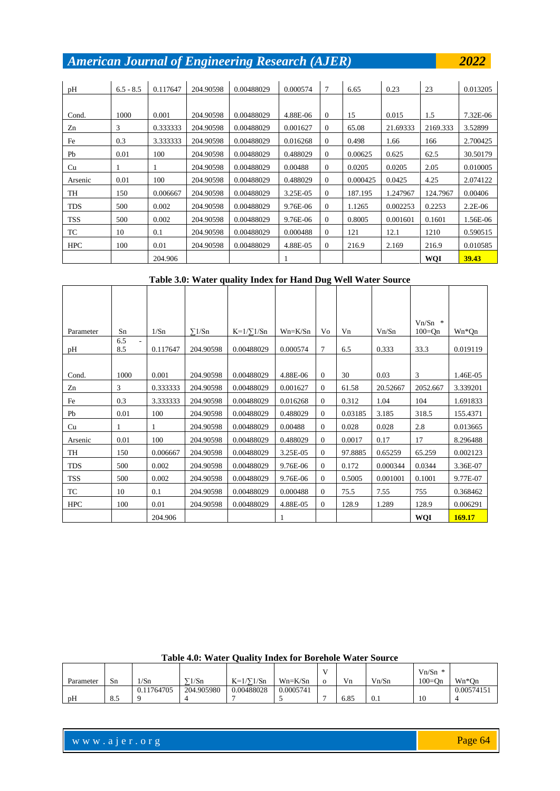| pH         | $6.5 - 8.5$ | 0.117647 | 204.90598 | 0.00488029 | 0.000574 | 7            | 6.65     | 0.23     | 23         | 0.013205  |
|------------|-------------|----------|-----------|------------|----------|--------------|----------|----------|------------|-----------|
|            |             |          |           |            |          |              |          |          |            |           |
| Cond.      | 1000        | 0.001    | 204.90598 | 0.00488029 | 4.88E-06 | $\Omega$     | 15       | 0.015    | 1.5        | 7.32E-06  |
| Zn         | 3           | 0.333333 | 204.90598 | 0.00488029 | 0.001627 | $\Omega$     | 65.08    | 21.69333 | 2169.333   | 3.52899   |
| Fe         | 0.3         | 3.333333 | 204.90598 | 0.00488029 | 0.016268 | $\mathbf{0}$ | 0.498    | 1.66     | 166        | 2.700425  |
| Pb         | 0.01        | 100      | 204.90598 | 0.00488029 | 0.488029 | $\theta$     | 0.00625  | 0.625    | 62.5       | 30.50179  |
| Cu         |             | 1        | 204.90598 | 0.00488029 | 0.00488  | $\Omega$     | 0.0205   | 0.0205   | 2.05       | 0.010005  |
| Arsenic    | 0.01        | 100      | 204.90598 | 0.00488029 | 0.488029 | $\mathbf{0}$ | 0.000425 | 0.0425   | 4.25       | 2.074122  |
| TH         | 150         | 0.006667 | 204.90598 | 0.00488029 | 3.25E-05 | $\mathbf{0}$ | 187.195  | 1.247967 | 124.7967   | 0.00406   |
| <b>TDS</b> | 500         | 0.002    | 204.90598 | 0.00488029 | 9.76E-06 | $\Omega$     | 1.1265   | 0.002253 | 0.2253     | $2.2E-06$ |
| TSS        | 500         | 0.002    | 204.90598 | 0.00488029 | 9.76E-06 | $\Omega$     | 0.8005   | 0.001601 | 0.1601     | 1.56E-06  |
| TC         | 10          | 0.1      | 204.90598 | 0.00488029 | 0.000488 | $\Omega$     | 121      | 12.1     | 1210       | 0.590515  |
| <b>HPC</b> | 100         | 0.01     | 204.90598 | 0.00488029 | 4.88E-05 | $\theta$     | 216.9    | 2.169    | 216.9      | 0.010585  |
|            |             | 204.906  |           |            |          |              |          |          | <b>WQI</b> | 39.43     |

**Table 3.0: Water quality Index for Hand Dug Well Water Source**

|            |            |          |               |                 |           |                |         |          | $Vn/Sn$ *  |          |
|------------|------------|----------|---------------|-----------------|-----------|----------------|---------|----------|------------|----------|
| Parameter  | Sn         | 1/Sn     | $\Sigma$ 1/Sn | $K=1/\sum 1/Sn$ | $Wn=K/Sn$ | Vo             | Vn      | Vn/Sn    | $100 = Qn$ | Wn*Qn    |
| pН         | 6.5<br>8.5 | 0.117647 | 204.90598     | 0.00488029      | 0.000574  | 7              | 6.5     | 0.333    | 33.3       | 0.019119 |
|            |            |          |               |                 |           |                |         |          |            |          |
| Cond.      | 1000       | 0.001    | 204.90598     | 0.00488029      | 4.88E-06  | $\Omega$       | 30      | 0.03     | 3          | 1.46E-05 |
| Zn         | 3          | 0.333333 | 204.90598     | 0.00488029      | 0.001627  | $\overline{0}$ | 61.58   | 20.52667 | 2052.667   | 3.339201 |
| Fe         | 0.3        | 3.333333 | 204.90598     | 0.00488029      | 0.016268  | $\overline{0}$ | 0.312   | 1.04     | 104        | 1.691833 |
| Pb         | 0.01       | 100      | 204.90598     | 0.00488029      | 0.488029  | $\overline{0}$ | 0.03185 | 3.185    | 318.5      | 155.4371 |
| Cu         |            | 1        | 204.90598     | 0.00488029      | 0.00488   | $\overline{0}$ | 0.028   | 0.028    | 2.8        | 0.013665 |
| Arsenic    | 0.01       | 100      | 204.90598     | 0.00488029      | 0.488029  | $\overline{0}$ | 0.0017  | 0.17     | 17         | 8.296488 |
| TH         | 150        | 0.006667 | 204.90598     | 0.00488029      | 3.25E-05  | $\overline{0}$ | 97.8885 | 0.65259  | 65.259     | 0.002123 |
| <b>TDS</b> | 500        | 0.002    | 204.90598     | 0.00488029      | 9.76E-06  | $\overline{0}$ | 0.172   | 0.000344 | 0.0344     | 3.36E-07 |
| <b>TSS</b> | 500        | 0.002    | 204.90598     | 0.00488029      | 9.76E-06  | $\overline{0}$ | 0.5005  | 0.001001 | 0.1001     | 9.77E-07 |
| TC         | 10         | 0.1      | 204.90598     | 0.00488029      | 0.000488  | $\overline{0}$ | 75.5    | 7.55     | 755        | 0.368462 |
| <b>HPC</b> | 100        | 0.01     | 204.90598     | 0.00488029      | 4.88E-05  | $\overline{0}$ | 128.9   | 1.289    | 128.9      | 0.006291 |
|            |            | 204.906  |               |                 |           |                |         |          | WQI        | 169.17   |

|  |  |  |  | Table 4.0: Water Quality Index for Borehole Water Source |
|--|--|--|--|----------------------------------------------------------|
|  |  |  |  |                                                          |

|           |               |            |            |                 |           | Ā. |      |       | $Vn/Sn *$  |            |
|-----------|---------------|------------|------------|-----------------|-----------|----|------|-------|------------|------------|
| Parameter | Sn            | 1/Sn       | 1/Sn       | $K=1/\sum 1/Sn$ | $Wn=K/Sn$ |    | Vn   | Vn/Sn | $100 = On$ | $Wn*On$    |
|           |               | 0.11764705 | 204.905980 | 0.00488028      | 0.0005741 |    |      |       |            | 0.00574151 |
| pH        | $\Omega$<br>o |            |            |                 |           |    | 6.85 | U.I   | 10         |            |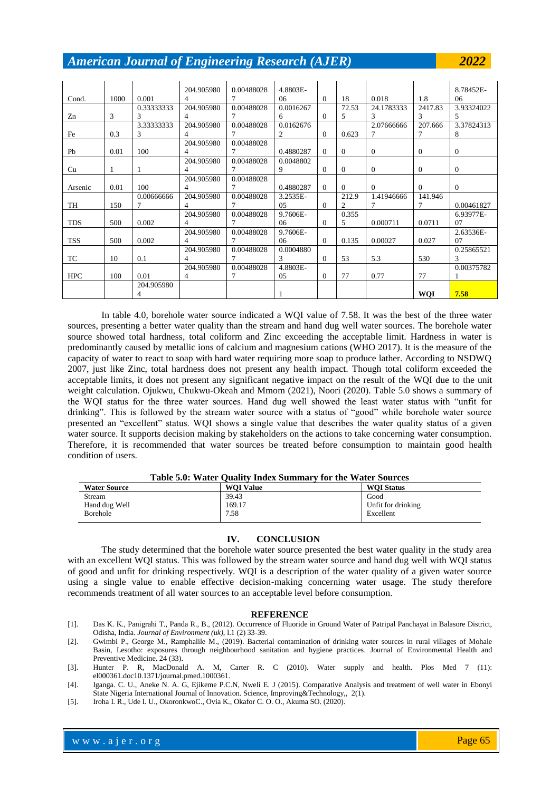|            |      |            | 204.905980 | 0.00488028 | 4.8803E-      |          |              |                |            | 8.78452E-      |
|------------|------|------------|------------|------------|---------------|----------|--------------|----------------|------------|----------------|
| Cond.      | 1000 | 0.001      | 4          | 7          | 06            | $\Omega$ | 18           | 0.018          | 1.8        | 06             |
|            |      | 0.33333333 | 204.905980 | 0.00488028 | 0.0016267     |          | 72.53        | 24.1783333     | 2417.83    | 3.93324022     |
| Zn         | 3    | 3          | 4          | 7          | 6             | $\Omega$ | 5            | 3              | 3          | 5              |
|            |      | 3.33333333 | 204.905980 | 0.00488028 | 0.0162676     |          |              | 2.07666666     | 207.666    | 3.37824313     |
| Fe         | 0.3  | 3          | 4          | 7          | 2             | $\theta$ | 0.623        | 7              | 7          | 8              |
|            |      |            | 204.905980 | 0.00488028 |               |          |              |                |            |                |
| Pb         | 0.01 | 100        | 4          | 7          | 0.4880287     | $\Omega$ | $\mathbf{0}$ | $\overline{0}$ | $\theta$   | $\overline{0}$ |
|            |      |            | 204.905980 | 0.00488028 | 0.0048802     |          |              |                |            |                |
| Cu         |      |            | 4          | 7          | 9             | $\Omega$ | $\Omega$     | $\Omega$       | $\Omega$   | $\overline{0}$ |
|            |      |            | 204.905980 | 0.00488028 |               |          |              |                |            |                |
| Arsenic    | 0.01 | 100        | 4          | 7          | 0.4880287     | $\Omega$ | $\Omega$     | $\Omega$       | $\Omega$   | $\overline{0}$ |
|            |      | 0.00666666 | 204.905980 | 0.00488028 | 3.2535E-      |          | 212.9        | 1.41946666     | 141.946    |                |
| TH         | 150  |            | 4          | 7          | 05            | $\theta$ | 2            | 7              | 7          | 0.00461827     |
|            |      |            | 204.905980 | 0.00488028 | 9.7606E-      |          | 0.355        |                |            | 6.93977E-      |
| <b>TDS</b> | 500  | 0.002      | 4          | 7          | 06            | $\theta$ | 5            | 0.000711       | 0.0711     | 07             |
|            |      |            | 204.905980 | 0.00488028 | 9.7606E-      |          |              |                |            | 2.63536E-      |
| <b>TSS</b> | 500  | 0.002      | 4          | 7          | 06            | $\Omega$ | 0.135        | 0.00027        | 0.027      | 07             |
|            |      |            | 204.905980 | 0.00488028 | 0.0004880     |          |              |                |            | 0.25865521     |
| <b>TC</b>  | 10   | 0.1        | 4          | 7          | $\mathcal{F}$ | $\theta$ | 53           | 5.3            | 530        | 3              |
|            |      |            | 204.905980 | 0.00488028 | 4.8803E-      |          |              |                |            | 0.00375782     |
| <b>HPC</b> | 100  | 0.01       | 4          | 7          | 05            | $\Omega$ | 77           | 0.77           | 77         |                |
|            |      | 204.905980 |            |            |               |          |              |                |            |                |
|            |      |            |            |            |               |          |              |                | <b>WQI</b> | 7.58           |

In table 4.0, borehole water source indicated a WQI value of 7.58. It was the best of the three water sources, presenting a better water quality than the stream and hand dug well water sources. The borehole water source showed total hardness, total coliform and Zinc exceeding the acceptable limit. Hardness in water is predominantly caused by metallic ions of calcium and magnesium cations (WHO 2017). It is the measure of the capacity of water to react to soap with hard water requiring more soap to produce lather. According to NSDWQ 2007, just like Zinc, total hardness does not present any health impact. Though total coliform exceeded the acceptable limits, it does not present any significant negative impact on the result of the WQI due to the unit weight calculation. Ojukwu, Chukwu-Okeah and Mmom (2021), Noori (2020). Table 5.0 shows a summary of the WQI status for the three water sources. Hand dug well showed the least water status with "unfit for drinking". This is followed by the stream water source with a status of "good" while borehole water source presented an "excellent" status. WQI shows a single value that describes the water quality status of a given water source. It supports decision making by stakeholders on the actions to take concerning water consumption. Therefore, it is recommended that water sources be treated before consumption to maintain good health condition of users.

## **Table 5.0: Water Quality Index Summary for the Water Sources**

| <b>Water Source</b> | <b>WOI Value</b> | <b>WOI Status</b>  |
|---------------------|------------------|--------------------|
| Stream              | 39.43            | Good               |
| Hand dug Well       | 169.17           | Unfit for drinking |
| <b>Borehole</b>     | 7.58             | Excellent          |

## **IV. CONCLUSION**

The study determined that the borehole water source presented the best water quality in the study area with an excellent WQI status. This was followed by the stream water source and hand dug well with WQI status of good and unfit for drinking respectively. WQI is a description of the water quality of a given water source using a single value to enable effective decision-making concerning water usage. The study therefore recommends treatment of all water sources to an acceptable level before consumption.

#### **REFERENCE**

- [1]. Das K. K., Panigrahi T., Panda R., B., (2012). Occurrence of Fluoride in Ground Water of Patripal Panchayat in Balasore District, Odisha, India. *Journal of Environment (uk),* l.1 (2) 33-39.
- [2]. Gwimbi P., George M., Ramphalile M., (2019). Bacterial contamination of drinking water sources in rural villages of Mohale Basin, Lesotho: exposures through neighbourhood sanitation and hygiene practices. Journal of Environmental Health and Preventive Medicine. 24 (33).
- [3]. Hunter P. R, MacDonald A. M, Carter R. C (2010). Water supply and health. Plos Med 7 (11): el000361.doc10.1371/journal.pmed.1000361.
- [4]. Iganga. C. U., Aneke N. A. G, Ejikeme P.C.N, Nweli E. J (2015). Comparative Analysis and treatment of well water in Ebonyi State Nigeria International Journal of Innovation. Science, Improving&Technology,, 2(1).
- [5]. Iroha I. R., Ude I. U., OkoronkwoC., Ovia K., Okafor C. O. O., Akuma SO. (2020).